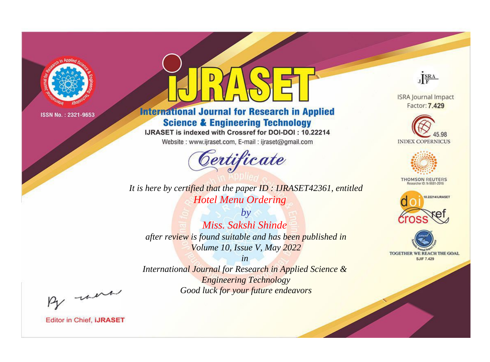

# **International Journal for Research in Applied Science & Engineering Technology**

IJRASET is indexed with Crossref for DOI-DOI: 10.22214

Website: www.ijraset.com, E-mail: ijraset@gmail.com



**ISRA Journal Impact** 

JERA

Factor: 7.429





**THOMSON REUTERS** 



TOGETHER WE REACH THE GOAL **SJIF 7.429** 

*It is here by certified that the paper ID : IJRASET42361, entitled Hotel Menu Ordering*

*by Miss. Sakshi Shinde after review is found suitable and has been published in Volume 10, Issue V, May 2022*

*in* 

*International Journal for Research in Applied Science & Engineering Technology Good luck for your future endeavors*

By morn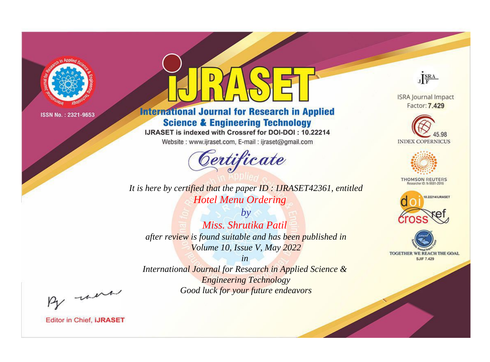

# **International Journal for Research in Applied Science & Engineering Technology**

IJRASET is indexed with Crossref for DOI-DOI: 10.22214

Website: www.ijraset.com, E-mail: ijraset@gmail.com



JERA **ISRA Journal Impact** 

Factor: 7.429





**THOMSON REUTERS** 



TOGETHER WE REACH THE GOAL **SJIF 7.429** 

*It is here by certified that the paper ID : IJRASET42361, entitled Hotel Menu Ordering*

*by Miss. Shrutika Patil after review is found suitable and has been published in Volume 10, Issue V, May 2022*

*in* 

*International Journal for Research in Applied Science & Engineering Technology Good luck for your future endeavors*

By morn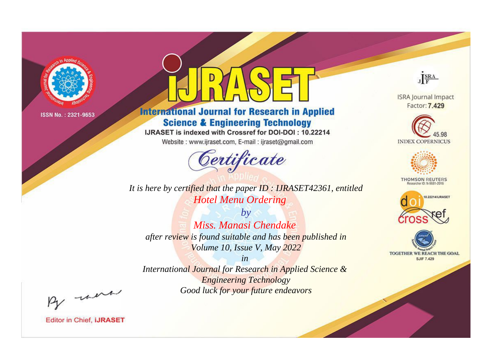

# **International Journal for Research in Applied Science & Engineering Technology**

IJRASET is indexed with Crossref for DOI-DOI: 10.22214

Website: www.ijraset.com, E-mail: ijraset@gmail.com



JERA

**ISRA Journal Impact** Factor: 7.429





**THOMSON REUTERS** 



TOGETHER WE REACH THE GOAL **SJIF 7.429** 

*It is here by certified that the paper ID : IJRASET42361, entitled Hotel Menu Ordering*

*by Miss. Manasi Chendake after review is found suitable and has been published in Volume 10, Issue V, May 2022*

*in* 

*International Journal for Research in Applied Science & Engineering Technology Good luck for your future endeavors*

By morn